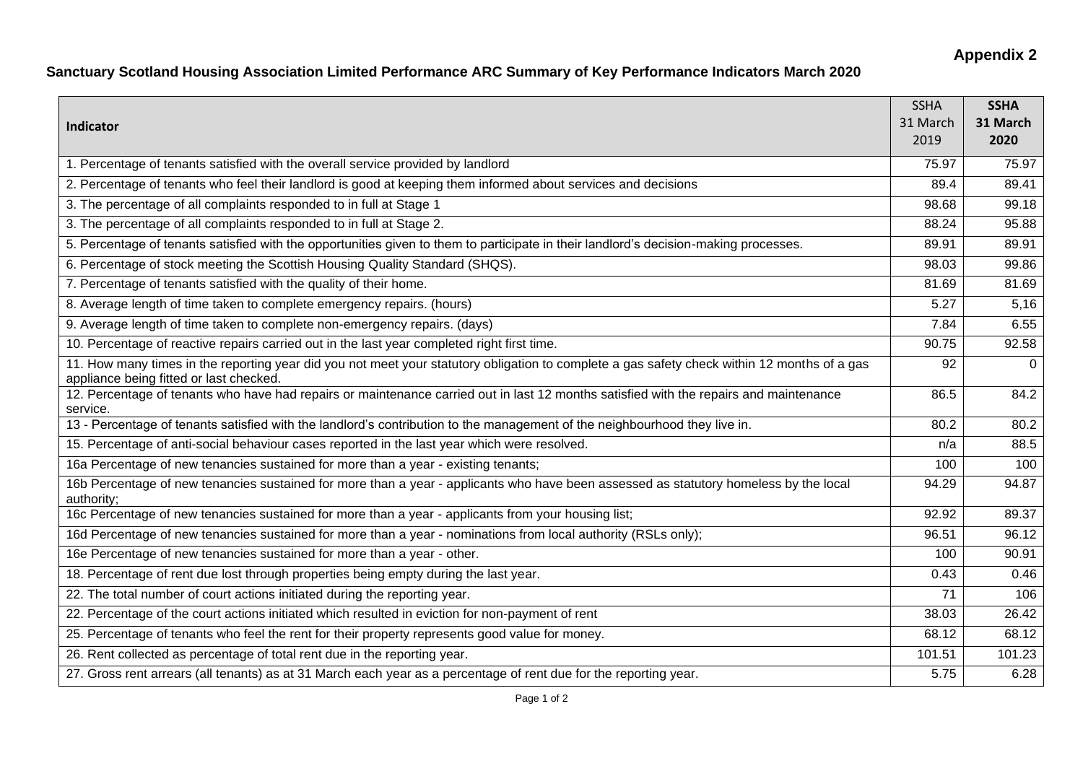## **Appendix 2**

## **Sanctuary Scotland Housing Association Limited Performance ARC Summary of Key Performance Indicators March 2020**

| Indicator                                                                                                                                                                               | <b>SSHA</b><br>31 March<br>2019 | <b>SSHA</b><br>31 March<br>2020 |
|-----------------------------------------------------------------------------------------------------------------------------------------------------------------------------------------|---------------------------------|---------------------------------|
| 1. Percentage of tenants satisfied with the overall service provided by landlord                                                                                                        | 75.97                           | 75.97                           |
| 2. Percentage of tenants who feel their landlord is good at keeping them informed about services and decisions                                                                          | 89.4                            | 89.41                           |
| 3. The percentage of all complaints responded to in full at Stage 1                                                                                                                     | 98.68                           | 99.18                           |
| 3. The percentage of all complaints responded to in full at Stage 2.                                                                                                                    | 88.24                           | 95.88                           |
| 5. Percentage of tenants satisfied with the opportunities given to them to participate in their landlord's decision-making processes.                                                   | 89.91                           | 89.91                           |
| 6. Percentage of stock meeting the Scottish Housing Quality Standard (SHQS).                                                                                                            | 98.03                           | 99.86                           |
| 7. Percentage of tenants satisfied with the quality of their home.                                                                                                                      | 81.69                           | 81.69                           |
| 8. Average length of time taken to complete emergency repairs. (hours)                                                                                                                  | 5.27                            | 5,16                            |
| 9. Average length of time taken to complete non-emergency repairs. (days)                                                                                                               | 7.84                            | 6.55                            |
| 10. Percentage of reactive repairs carried out in the last year completed right first time.                                                                                             | 90.75                           | 92.58                           |
| 11. How many times in the reporting year did you not meet your statutory obligation to complete a gas safety check within 12 months of a gas<br>appliance being fitted or last checked. | 92                              | $\Omega$                        |
| 12. Percentage of tenants who have had repairs or maintenance carried out in last 12 months satisfied with the repairs and maintenance<br>service.                                      | 86.5                            | 84.2                            |
| 13 - Percentage of tenants satisfied with the landlord's contribution to the management of the neighbourhood they live in.                                                              | 80.2                            | 80.2                            |
| 15. Percentage of anti-social behaviour cases reported in the last year which were resolved.                                                                                            | n/a                             | 88.5                            |
| 16a Percentage of new tenancies sustained for more than a year - existing tenants;                                                                                                      | 100                             | 100                             |
| 16b Percentage of new tenancies sustained for more than a year - applicants who have been assessed as statutory homeless by the local<br>authority;                                     | 94.29                           | 94.87                           |
| 16c Percentage of new tenancies sustained for more than a year - applicants from your housing list;                                                                                     | 92.92                           | 89.37                           |
| 16d Percentage of new tenancies sustained for more than a year - nominations from local authority (RSLs only);                                                                          | 96.51                           | 96.12                           |
| 16e Percentage of new tenancies sustained for more than a year - other.                                                                                                                 | 100                             | 90.91                           |
| 18. Percentage of rent due lost through properties being empty during the last year.                                                                                                    | 0.43                            | 0.46                            |
| 22. The total number of court actions initiated during the reporting year.                                                                                                              | 71                              | 106                             |
| 22. Percentage of the court actions initiated which resulted in eviction for non-payment of rent                                                                                        | 38.03                           | 26.42                           |
| 25. Percentage of tenants who feel the rent for their property represents good value for money.                                                                                         | 68.12                           | 68.12                           |
| 26. Rent collected as percentage of total rent due in the reporting year.                                                                                                               | 101.51                          | 101.23                          |
| 27. Gross rent arrears (all tenants) as at 31 March each year as a percentage of rent due for the reporting year.                                                                       | 5.75                            | 6.28                            |